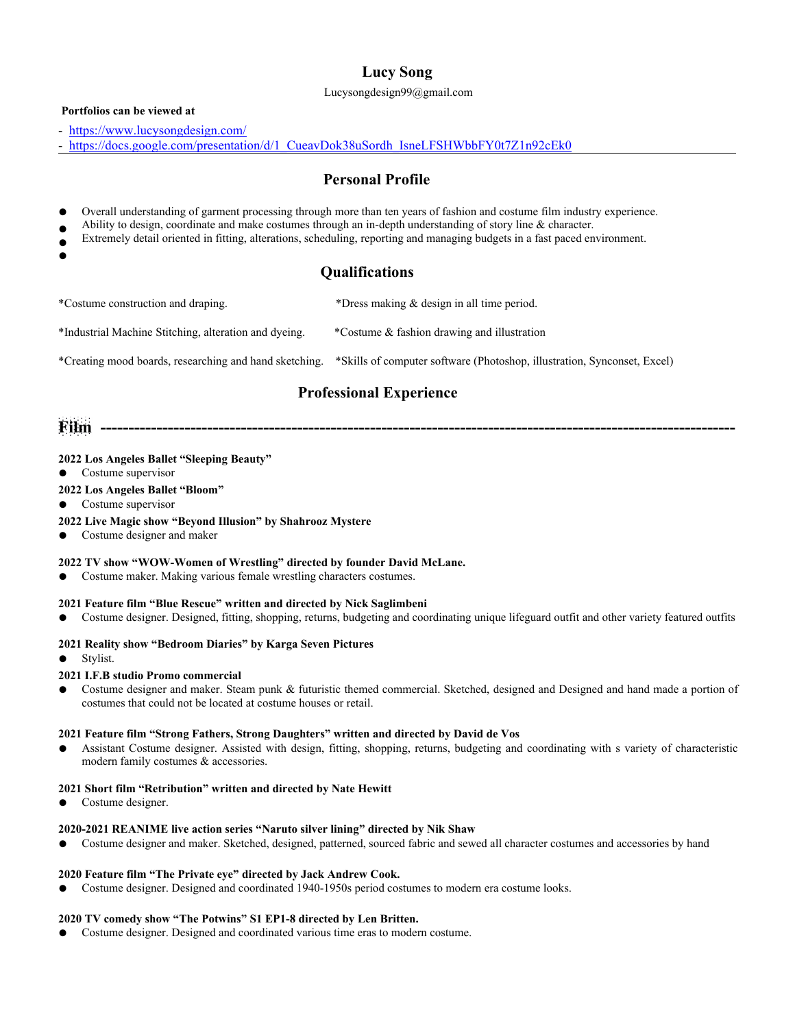# **Lucy Song**

Lucysongdesign99@gmail.com

## **Portfolios can be viewed at**

- <https://www.lucysongdesign.com/>
- https:[//docs.google.com/presentation/d/1\\_CueavDok38uSordh\\_IsneLFSHWbbFY0t7Z1n92cEk0](https://docs.google.com/presentation/d/1_CueavDok38uSordh_IsneLFSHWbbFY0t7Z1n92cEk0)

## **Personal Profile**

- Overall understanding of garment processing through more than ten years offashion and costume film industry experience.
- Ability to design, coordinate and make costumes through an in-depth understanding of story line  $\&$  character.
- Extremely detail oriented in fitting, alterations, scheduling, reporting and managing budgets in a fast paced environment.
- $\bullet$

## **Qualifications**

\*Costume construction and draping. \*Dress making & design in all time period.

\*Industrial Machine Stitching, alteration and dyeing. \*Costume & fashion drawing and illustration

\*Creating mood boards, researching and hand sketching. \*Skills ofcomputer software (Photoshop, illustration, Synconset, Excel)

## **Professional Experience**

**Film -----------------------------------------------------------------------------------------------------------------**

## **2022 Los Angeles Ballet "Sleeping Beauty"**

- Costume supervisor
- **2022 Los Angeles Ballet "Bloom"**
- Costume supervisor

## **2022 Live Magic show "Beyond Illusion" by Shahrooz Mystere**

Costume designer and maker

## **2022 TV show "WOW-Women of Wrestling" directed by founder David McLane.**

Costume maker. Making various female wrestling characters costumes.

## **2021 Feature film "Blue Rescue" written and directed by Nick Saglimbeni**

● Costume designer. Designed, fitting, shopping, returns, budgeting and coordinating unique lifeguard outfit and other variety featured outfits

## **2021 Reality show "Bedroom Diaries" by Karga Seven Pictures**

● Stylist.

## **2021 I.F.B studio Promo commercial**

Costume designer and maker. Steam punk & futuristic themed commercial. Sketched, designed and Designed and hand made a portion of costumes that could not be located at costume houses or retail.

## **2021 Feature film "Strong Fathers, Strong Daughters" written and directed by David de Vos**

Assistant Costume designer. Assisted with design, fitting, shopping, returns, budgeting and coordinating with s variety of characteristic modern family costumes & accessories.

## **2021 Short film "Retribution" written and directed by Nate Hewitt**

● Costume designer.

## **2020-2021 REANIME live action series "Naruto silver lining" directed by Nik Shaw**

Costume designer and maker. Sketched, designed, patterned, sourced fabric and sewed all character costumes and accessories by hand

## **2020 Feature film "The Private eye" directed by Jack Andrew Cook.**

Costume designer. Designed and coordinated 1940-1950s period costumes to modern era costume looks.

## **2020 TV comedy show "The Potwins" S1 EP1-8 directed by Len Britten.**

Costume designer. Designed and coordinated various time eras to modern costume.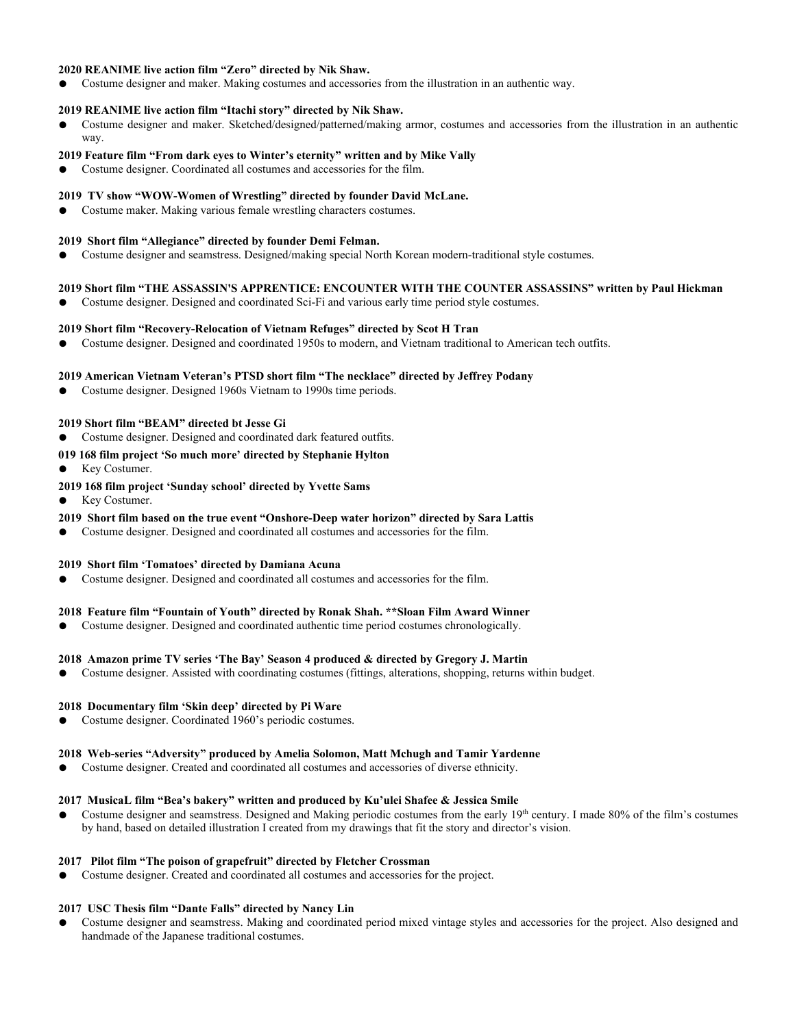## **2020 REANIME live action film "Zero" directed by Nik Shaw.**

Costume designer and maker. Making costumes and accessories from the illustration in an authentic way.

## **2019 REANIME live action film "Itachistory" directed by Nik Shaw.**

● Costume designer and maker. Sketched/designed/patterned/making armor, costumes and accessories from the illustration in an authentic way.

## **2019 Feature film "From dark eyes to Winter's eternity" written and by Mike Vally**

Costume designer. Coordinated all costumes and accessories for the film.

#### **2019 TV show "WOW-Women of Wrestling" directed by founder David McLane.**

● Costume maker. Making various female wrestling characters costumes.

#### **2019 Short film "Allegiance" directed by founder Demi Felman.**

Costume designer and seamstress. Designed/making special North Korean modern-traditional style costumes.

## **2019 Short film "THE ASSASSIN'S APPRENTICE: ENCOUNTER WITH THE COUNTER ASSASSINS" written by Paul Hickman**

Costume designer. Designed and coordinated Sci-Fi and various early time period style costumes.

#### **2019 Short film "Recovery-Relocation of Vietnam Refuges" directed by Scot H Tran**

● Costume designer. Designed and coordinated 1950s to modern, and Vietnam traditional to American tech outfits.

#### **2019 American Vietnam Veteran's PTSD short film "The necklace" directed by Jeffrey Podany**

Costume designer. Designed 1960s Vietnam to 1990s time periods.

#### **2019 Short film "BEAM" directed bt Jesse Gi**

● Costume designer. Designed and coordinated dark featured outfits.

#### **019 168 film project 'So much more' directed by Stephanie Hylton**

Key Costumer.

- **2019 168 film project 'Sunday school' directed by Yvette Sams**
- Key Costumer.

#### **2019 Short film based on the true event "Onshore-Deep water horizon" directed by Sara Lattis**

Costume designer. Designed and coordinated all costumes and accessories for the film.

#### **2019 Short film 'Tomatoes' directed by Damiana Acuna**

Costume designer. Designed and coordinated all costumes and accessories for the film.

### **2018 Feature film "Fountain of Youth" directed by Ronak Shah. \*\*Sloan Film Award Winner**

Costume designer. Designed and coordinated authentic time period costumes chronologically.

#### **2018 Amazon prime TV series 'The Bay' Season 4 produced & directed by Gregory J. Martin**

Costume designer. Assisted with coordinating costumes (fittings, alterations, shopping, returns within budget.

#### **2018 Documentary film 'Skin deep' directed by Pi Ware**

Costume designer. Coordinated 1960's periodic costumes.

#### **2018 Web-series "Adversity" produced by Amelia Solomon, Matt Mchugh and Tamir Yardenne**

Costume designer. Created and coordinated all costumes and accessories of diverse ethnicity.

## **2017 MusicaL film "Bea's bakery" written and produced by Ku'ulei Shafee & Jessica Smile**

● Costume designer and seamstress. Designed and Making periodic costumes from the early 19<sup>th</sup> century. I made 80% of the film's costumes by hand, based on detailed illustration I created from my drawings that fit the story and director's vision.

## **2017 Pilot film "The poison of grapefruit" directed by Fletcher Crossman**

Costume designer. Created and coordinated all costumes and accessories for the project.

## **2017 USC Thesis film "Dante Falls" directed by Nancy Lin**

Costume designer and seamstress. Making and coordinated period mixed vintage styles and accessories for the project. Also designed and handmade of the Japanese traditional costumes.